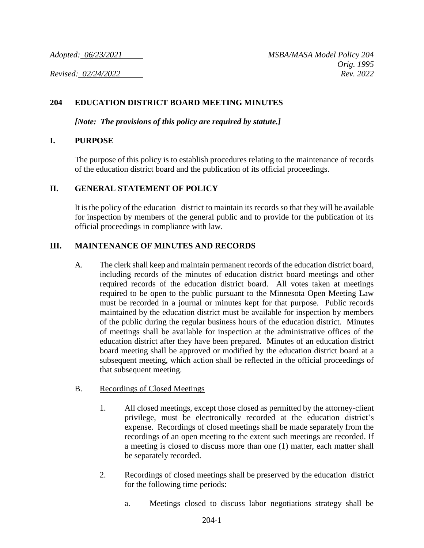## **204 EDUCATION DISTRICT BOARD MEETING MINUTES**

*[Note: The provisions of this policy are required by statute.]*

### **I. PURPOSE**

The purpose of this policy is to establish procedures relating to the maintenance of records of the education district board and the publication of its official proceedings.

### **II. GENERAL STATEMENT OF POLICY**

It is the policy of the education district to maintain its records so that they will be available for inspection by members of the general public and to provide for the publication of its official proceedings in compliance with law.

### **III. MAINTENANCE OF MINUTES AND RECORDS**

A. The clerk shall keep and maintain permanent records of the education district board, including records of the minutes of education district board meetings and other required records of the education district board. All votes taken at meetings required to be open to the public pursuant to the Minnesota Open Meeting Law must be recorded in a journal or minutes kept for that purpose. Public records maintained by the education district must be available for inspection by members of the public during the regular business hours of the education district. Minutes of meetings shall be available for inspection at the administrative offices of the education district after they have been prepared. Minutes of an education district board meeting shall be approved or modified by the education district board at a subsequent meeting, which action shall be reflected in the official proceedings of that subsequent meeting.

#### B. Recordings of Closed Meetings

- 1. All closed meetings, except those closed as permitted by the attorney-client privilege, must be electronically recorded at the education district's expense. Recordings of closed meetings shall be made separately from the recordings of an open meeting to the extent such meetings are recorded. If a meeting is closed to discuss more than one (1) matter, each matter shall be separately recorded.
- 2. Recordings of closed meetings shall be preserved by the education district for the following time periods:
	- a. Meetings closed to discuss labor negotiations strategy shall be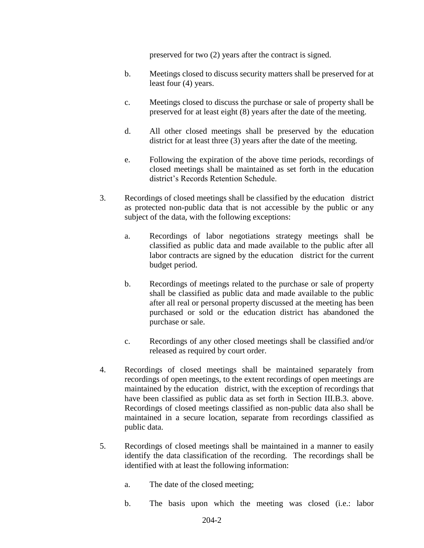preserved for two (2) years after the contract is signed.

- b. Meetings closed to discuss security matters shall be preserved for at least four (4) years.
- c. Meetings closed to discuss the purchase or sale of property shall be preserved for at least eight (8) years after the date of the meeting.
- d. All other closed meetings shall be preserved by the education district for at least three (3) years after the date of the meeting.
- e. Following the expiration of the above time periods, recordings of closed meetings shall be maintained as set forth in the education district's Records Retention Schedule.
- 3. Recordings of closed meetings shall be classified by the education district as protected non-public data that is not accessible by the public or any subject of the data, with the following exceptions:
	- a. Recordings of labor negotiations strategy meetings shall be classified as public data and made available to the public after all labor contracts are signed by the education district for the current budget period.
	- b. Recordings of meetings related to the purchase or sale of property shall be classified as public data and made available to the public after all real or personal property discussed at the meeting has been purchased or sold or the education district has abandoned the purchase or sale.
	- c. Recordings of any other closed meetings shall be classified and/or released as required by court order.
- 4. Recordings of closed meetings shall be maintained separately from recordings of open meetings, to the extent recordings of open meetings are maintained by the education district, with the exception of recordings that have been classified as public data as set forth in Section III.B.3. above. Recordings of closed meetings classified as non-public data also shall be maintained in a secure location, separate from recordings classified as public data.
- 5. Recordings of closed meetings shall be maintained in a manner to easily identify the data classification of the recording. The recordings shall be identified with at least the following information:
	- a. The date of the closed meeting;
	- b. The basis upon which the meeting was closed (i.e.: labor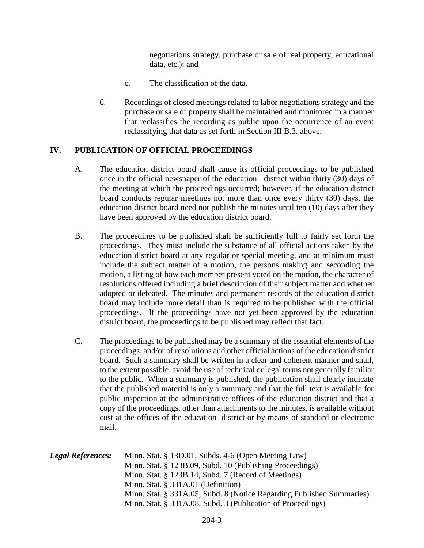negotiations strategy, purchase or sale of real property, educational data, etc.); and

- c. The classification of the data.
- 6. Recordings of closed meetings related to labor negotiations strategy and the purchase or sale of property shall be maintained and monitored in a manner that reclassifies the recording as public upon the occurrence of an event reclassifying that data as set forth in Section III.B.3. above.

# **IV. PUBLICATION OF OFFICIAL PROCEEDINGS**

- A. The education district board shall cause its official proceedings to be published once in the official newspaper of the education district within thirty (30) days of the meeting at which the proceedings occurred; however, if the education district board conducts regular meetings not more than once every thirty (30) days, the education district board need not publish the minutes until ten (10) days after they have been approved by the education district board.
- B. The proceedings to be published shall be sufficiently full to fairly set forth the proceedings. They must include the substance of all official actions taken by the education district board at any regular or special meeting, and at minimum must include the subject matter of a motion, the persons making and seconding the motion, a listing of how each member present voted on the motion, the character of resolutions offered including a brief description of their subject matter and whether adopted or defeated. The minutes and permanent records of the education district board may include more detail than is required to be published with the official proceedings. If the proceedings have not yet been approved by the education district board, the proceedings to be published may reflect that fact.
- C. The proceedings to be published may be a summary of the essential elements of the proceedings, and/or of resolutions and other official actions of the education district board. Such a summary shall be written in a clear and coherent manner and shall, to the extent possible, avoid the use of technical or legal terms not generally familiar to the public. When a summary is published, the publication shall clearly indicate that the published material is only a summary and that the full text is available for public inspection at the administrative offices of the education district and that a copy of the proceedings, other than attachments to the minutes, is available without cost at the offices of the education district or by means of standard or electronic mail.

| <b>Legal References:</b> | Minn. Stat. § 13D.01, Subds. 4-6 (Open Meeting Law)                   |
|--------------------------|-----------------------------------------------------------------------|
|                          | Minn. Stat. § 123B.09, Subd. 10 (Publishing Proceedings)              |
|                          | Minn. Stat. § 123B.14, Subd. 7 (Record of Meetings)                   |
|                          | Minn. Stat. $\S$ 331A.01 (Definition)                                 |
|                          | Minn. Stat. § 331A.05, Subd. 8 (Notice Regarding Published Summaries) |
|                          | Minn. Stat. § 331A.08, Subd. 3 (Publication of Proceedings)           |